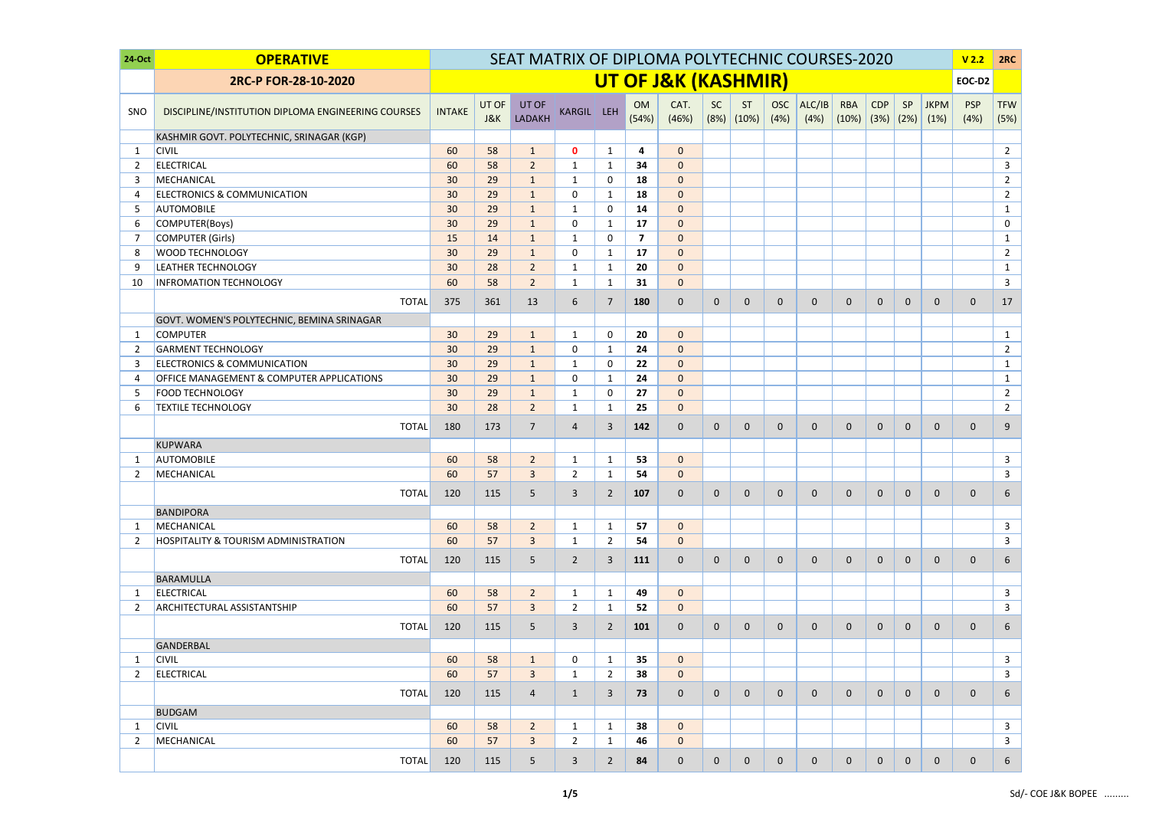| 24-Oct | <b>OPERATIVE</b>                                   | SEAT MATRIX OF DIPLOMA POLYTECHNIC COURSES-2020 |              |                        |                |                |                         |                     |              |                             |                    |                |                             | V <sub>2.2</sub> | 2RC          |                     |                    |                    |
|--------|----------------------------------------------------|-------------------------------------------------|--------------|------------------------|----------------|----------------|-------------------------|---------------------|--------------|-----------------------------|--------------------|----------------|-----------------------------|------------------|--------------|---------------------|--------------------|--------------------|
|        | 2RC-P FOR-28-10-2020                               |                                                 |              |                        |                |                |                         | UT OF J&K (KASHMIR) |              |                             |                    |                |                             |                  |              |                     | EOC-D2             |                    |
| SNO    | DISCIPLINE/INSTITUTION DIPLOMA ENGINEERING COURSES | <b>INTAKE</b>                                   | UT OF<br>J&K | UT OF<br><b>LADAKH</b> | KARGIL LEH     |                | OM<br>(54%)             | CAT.<br>(46%)       | <b>SC</b>    | <b>ST</b><br>$(8%)$ $(10%)$ | <b>OSC</b><br>(4%) | ALC/IB<br>(4%) | <b>RBA</b><br>$(10\%)$ (3%) | <b>CDP</b>       | SP<br>(2%)   | <b>JKPM</b><br>(1%) | <b>PSP</b><br>(4%) | <b>TFW</b><br>(5%) |
|        | KASHMIR GOVT. POLYTECHNIC, SRINAGAR (KGP)          |                                                 |              |                        |                |                |                         |                     |              |                             |                    |                |                             |                  |              |                     |                    |                    |
| -1     | <b>CIVIL</b>                                       | 60                                              | 58           | $\mathbf{1}$           | $\mathbf 0$    | $\mathbf{1}$   | $\overline{\mathbf{4}}$ | $\mathbf 0$         |              |                             |                    |                |                             |                  |              |                     |                    | $\overline{2}$     |
| 2      | <b>ELECTRICAL</b>                                  | 60                                              | 58           | $\overline{2}$         | $\mathbf{1}$   | $\mathbf{1}$   | 34                      | $\mathbf 0$         |              |                             |                    |                |                             |                  |              |                     |                    | $\mathbf{3}$       |
| 3      | MECHANICAL                                         | 30                                              | 29           | $\mathbf{1}$           | 1              | 0              | 18                      | $\pmb{0}$           |              |                             |                    |                |                             |                  |              |                     |                    | $\overline{2}$     |
| 4      | <b>ELECTRONICS &amp; COMMUNICATION</b>             | 30                                              | 29           | $\mathbf{1}$           | 0              | $\mathbf{1}$   | 18                      | $\mathbf{0}$        |              |                             |                    |                |                             |                  |              |                     |                    | $\overline{2}$     |
| -5     | <b>AUTOMOBILE</b>                                  | 30                                              | 29           | $\mathbf{1}$           | 1              | 0              | 14                      | $\mathbf{0}$        |              |                             |                    |                |                             |                  |              |                     |                    | $\mathbf{1}$       |
| 6      | COMPUTER(Boys)                                     | 30                                              | 29           | $\mathbf{1}$           | 0              | $\mathbf{1}$   | 17                      | $\mathbf{0}$        |              |                             |                    |                |                             |                  |              |                     |                    | $\mathbf 0$        |
| -7     | <b>COMPUTER (Girls)</b>                            | 15                                              | 14           | $\mathbf{1}$           | $\mathbf{1}$   | 0              | $\overline{\mathbf{z}}$ | $\mathbf{0}$        |              |                             |                    |                |                             |                  |              |                     |                    | $\mathbf{1}$       |
| 8      | <b>WOOD TECHNOLOGY</b>                             | 30                                              | 29           | $\mathbf{1}$           | 0              | $\mathbf{1}$   | 17                      | $\mathbf{0}$        |              |                             |                    |                |                             |                  |              |                     |                    | $2^{\circ}$        |
| 9      | <b>LEATHER TECHNOLOGY</b>                          | 30                                              | 28           | $\overline{2}$         | $\mathbf{1}$   | $\mathbf{1}$   | 20                      | $\mathbf{0}$        |              |                             |                    |                |                             |                  |              |                     |                    | $\mathbf{1}$       |
| 10     | <b>INFROMATION TECHNOLOGY</b>                      | 60                                              | 58           | $\overline{2}$         | 1              | $\mathbf{1}$   | 31                      | $\overline{0}$      |              |                             |                    |                |                             |                  |              |                     |                    | $\mathbf{3}$       |
|        | <b>TOTAL</b>                                       | 375                                             | 361          | 13                     | 6              | 7              | 180                     | $\overline{0}$      | $\mathbf{0}$ | $\mathbf{0}$                | $\mathbf{0}$       | $\mathbf{0}$   | $\mathbf 0$                 | $\mathbf{0}$     | $\mathbf 0$  | $\mathbf{0}$        | $\mathbf 0$        | 17                 |
|        | GOVT. WOMEN'S POLYTECHNIC, BEMINA SRINAGAR         |                                                 |              |                        |                |                |                         |                     |              |                             |                    |                |                             |                  |              |                     |                    |                    |
| -1     | <b>COMPUTER</b>                                    | 30                                              | 29           | $\mathbf{1}$           | $\mathbf{1}$   | $\mathbf 0$    | 20                      | $\mathbf 0$         |              |                             |                    |                |                             |                  |              |                     |                    | $\mathbf{1}$       |
| 2      | <b>GARMENT TECHNOLOGY</b>                          | 30                                              | 29           | $\mathbf{1}$           | 0              | $\mathbf{1}$   | 24                      | $\mathbf{0}$        |              |                             |                    |                |                             |                  |              |                     |                    | $\overline{2}$     |
| 3      | <b>ELECTRONICS &amp; COMMUNICATION</b>             | 30                                              | 29           | $\mathbf{1}$           | $\mathbf{1}$   | $\Omega$       | 22                      | $\mathbf{0}$        |              |                             |                    |                |                             |                  |              |                     |                    | $\mathbf{1}$       |
| 4      | OFFICE MANAGEMENT & COMPUTER APPLICATIONS          | 30                                              | 29           | $\mathbf{1}$           | 0              | $\mathbf{1}$   | 24                      | $\mathbf{0}$        |              |                             |                    |                |                             |                  |              |                     |                    | $\mathbf{1}$       |
| -5     | <b>FOOD TECHNOLOGY</b>                             | 30                                              | 29           | $\mathbf{1}$           | $\mathbf{1}$   | $\mathbf 0$    | 27                      | $\mathbf 0$         |              |                             |                    |                |                             |                  |              |                     |                    | $\overline{2}$     |
| 6      | <b>TEXTILE TECHNOLOGY</b>                          | 30                                              | 28           | $\overline{2}$         | 1              | $\mathbf{1}$   | 25                      | $\overline{0}$      |              |                             |                    |                |                             |                  |              |                     |                    | $\overline{2}$     |
|        | <b>TOTAL</b>                                       | 180                                             | 173          | $\overline{7}$         | $\overline{4}$ | 3              | 142                     | $\overline{0}$      | $\mathbf{0}$ | $\mathbf{0}$                | $\mathbf 0$        | $\mathbf{0}$   | $\mathbf 0$                 | $\mathbf{0}$     | $\mathbf 0$  | $\mathbf 0$         | $\mathbf 0$        | 9                  |
|        | <b>KUPWARA</b>                                     |                                                 |              |                        |                |                |                         |                     |              |                             |                    |                |                             |                  |              |                     |                    |                    |
| -1     | <b>AUTOMOBILE</b>                                  | 60                                              | 58           | $\overline{2}$         | 1              | $\mathbf{1}$   | 53                      | $\mathbf 0$         |              |                             |                    |                |                             |                  |              |                     |                    | $\mathbf{3}$       |
| 2      | MECHANICAL                                         | 60                                              | 57           | $\overline{3}$         | $\overline{2}$ | $\mathbf{1}$   | 54                      | $\mathbf{0}$        |              |                             |                    |                |                             |                  |              |                     |                    | $\overline{3}$     |
|        | <b>TOTAL</b>                                       | 120                                             | 115          | 5                      | 3              | $\overline{2}$ | 107                     | $\mathbf 0$         | $\mathbf 0$  | $\Omega$                    | $\mathbf{0}$       | $\mathbf{0}$   | $\mathbf 0$                 | $\mathbf{0}$     | $\mathbf 0$  | $\Omega$            | $\mathbf{0}$       | 6                  |
|        | <b>BANDIPORA</b>                                   |                                                 |              |                        |                |                |                         |                     |              |                             |                    |                |                             |                  |              |                     |                    |                    |
| -1     | MECHANICAL                                         | 60                                              | 58           | $\overline{2}$         | $\mathbf{1}$   | $\mathbf{1}$   | 57                      | $\overline{0}$      |              |                             |                    |                |                             |                  |              |                     |                    | $\mathbf{3}$       |
| 2      | <b>HOSPITALITY &amp; TOURISM ADMINISTRATION</b>    | 60                                              | 57           | $\overline{3}$         | $\mathbf{1}$   | 2              | 54                      | $\overline{0}$      |              |                             |                    |                |                             |                  |              |                     |                    | $\mathbf{3}$       |
|        | <b>TOTAL</b>                                       | 120                                             | 115          | 5 <sub>5</sub>         | $\overline{2}$ | 3              | 111                     | $\mathbf 0$         | $\mathbf 0$  | $\mathbf{0}$                | $\mathbf{0}$       | $\mathbf{0}$   | $\mathbf{0}$                | $\mathbf{0}$     | $\mathbf 0$  | $\mathbf{0}$        | $\mathbf 0$        | $6\overline{6}$    |
|        | BARAMULLA                                          |                                                 |              |                        |                |                |                         |                     |              |                             |                    |                |                             |                  |              |                     |                    |                    |
| -1     | <b>ELECTRICAL</b>                                  | 60                                              | 58           | $\overline{2}$         | $\mathbf{1}$   | $\mathbf{1}$   | 49                      | $\overline{0}$      |              |                             |                    |                |                             |                  |              |                     |                    | $\mathbf{3}$       |
| 2      | <b>ARCHITECTURAL ASSISTANTSHIP</b>                 | 60                                              | 57           | $\overline{3}$         | $\overline{2}$ | $\mathbf{1}$   | 52                      | $\overline{0}$      |              |                             |                    |                |                             |                  |              |                     |                    | $\mathbf{3}$       |
|        | <b>TOTAL</b>                                       | 120                                             | 115          | 5 <sup>5</sup>         | $\mathbf{3}$   | $\overline{2}$ | 101                     | $\mathbf 0$         | $\mathbf{0}$ | $\overline{0}$              | $\mathbf 0$        | $\mathbf 0$    | $\mathbf{0}$                | $\mathbf{0}$     | $\mathbf 0$  | $\mathbf{0}$        | $\mathbf 0$        | 6                  |
|        | <b>GANDERBAL</b>                                   |                                                 |              |                        |                |                |                         |                     |              |                             |                    |                |                             |                  |              |                     |                    |                    |
| -1     | <b>CIVIL</b>                                       | 60                                              | 58           | $\mathbf{1}$           | 0              | $\mathbf{1}$   | 35                      | $\overline{0}$      |              |                             |                    |                |                             |                  |              |                     |                    | $\mathbf{3}$       |
| 2      | <b>ELECTRICAL</b>                                  | 60                                              | 57           | $\overline{3}$         | 1              | $\overline{2}$ | 38                      | $\mathbf 0$         |              |                             |                    |                |                             |                  |              |                     |                    | $\mathbf{3}$       |
|        | <b>TOTAL</b>                                       | 120                                             | 115          | $\overline{4}$         | $\mathbf{1}$   | 3              | 73                      | $\overline{0}$      | $\mathbf{0}$ | $\overline{0}$              | $\mathbf 0$        | $\mathbf{0}$   | $\mathbf 0$                 | $\mathbf{0}$     | $\mathbf 0$  | $\mathbf{0}$        | $\mathbf 0$        | 6                  |
|        | <b>BUDGAM</b>                                      |                                                 |              |                        |                |                |                         |                     |              |                             |                    |                |                             |                  |              |                     |                    |                    |
| -1     | <b>CIVIL</b>                                       | 60                                              | 58           | $\overline{2}$         | $\mathbf{1}$   | $\mathbf{1}$   | 38                      | $\overline{0}$      |              |                             |                    |                |                             |                  |              |                     |                    | $\mathbf{3}$       |
| 2      | MECHANICAL                                         | 60                                              | 57           | $\overline{3}$         | $\overline{2}$ | $\mathbf{1}$   | 46                      | $\overline{0}$      |              |                             |                    |                |                             |                  |              |                     |                    | $\mathbf{3}$       |
|        | <b>TOTAL</b>                                       | 120                                             | 115          | 5                      | 3              | $\overline{2}$ | 84                      | $\overline{0}$      | $\mathbf{0}$ | $\mathbf{0}$                | $\mathbf{0}$       | $\mathbf{0}$   | $\mathbf{0}$                | $\mathbf{0}$     | $\mathbf{0}$ | $\mathbf 0$         | $\mathbf 0$        | 6                  |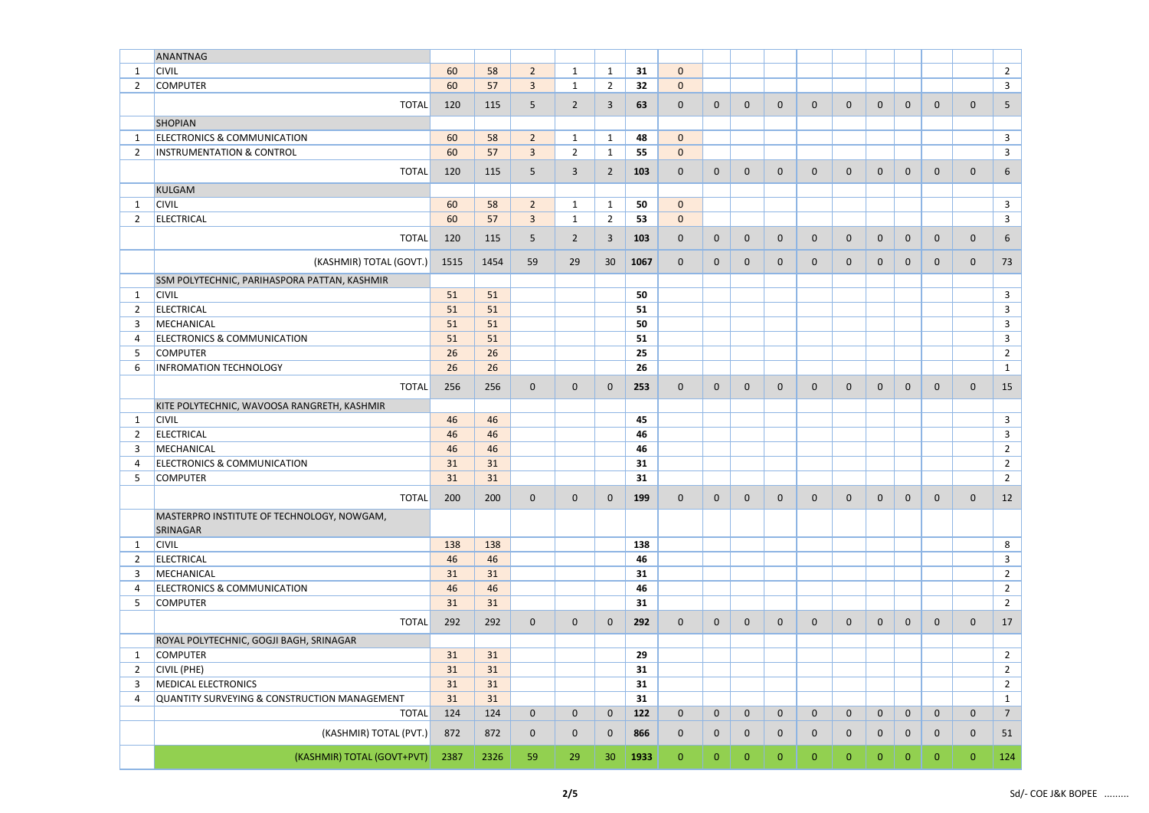|                | ANANTNAG                                     |      |      |                |                |                |      |                |                |                |              |                |                |                |                |              |              |                |
|----------------|----------------------------------------------|------|------|----------------|----------------|----------------|------|----------------|----------------|----------------|--------------|----------------|----------------|----------------|----------------|--------------|--------------|----------------|
| $\mathbf 1$    | <b>CIVIL</b>                                 | 60   | 58   | $\overline{2}$ | $\mathbf 1$    | $\mathbf{1}$   | 31   | $\mathbf{0}$   |                |                |              |                |                |                |                |              |              | $\overline{2}$ |
| 2              | <b>COMPUTER</b>                              | 60   | 57   | $\overline{3}$ | -1             | $\overline{2}$ | 32   | $\mathbf{0}$   |                |                |              |                |                |                |                |              |              | $\mathbf{3}$   |
|                | <b>TOTAL</b>                                 | 120  | 115  | $5\phantom{.}$ | $\overline{2}$ | 3              | 63   | $\mathbf 0$    | $\mathbf 0$    | $\mathbf 0$    | $\mathbf 0$  | $\mathbf 0$    | $\mathbf 0$    | $\mathbf{0}$   | $\mathbf 0$    | $\mathbf{0}$ | $\mathbf 0$  | $5\phantom{.}$ |
|                |                                              |      |      |                |                |                |      |                |                |                |              |                |                |                |                |              |              |                |
|                | <b>SHOPIAN</b>                               |      |      |                |                |                |      |                |                |                |              |                |                |                |                |              |              |                |
| -1             | <b>ELECTRONICS &amp; COMMUNICATION</b>       | 60   | 58   | $\overline{2}$ | $\mathbf 1$    | $\mathbf{1}$   | 48   | $\mathbf{0}$   |                |                |              |                |                |                |                |              |              | $\mathbf{3}$   |
| 2              | <b>INSTRUMENTATION &amp; CONTROL</b>         | 60   | 57   | $\overline{3}$ | $\overline{2}$ | $\mathbf{1}$   | 55   | $\mathbf{0}$   |                |                |              |                |                |                |                |              |              | $\mathbf{3}$   |
|                | <b>TOTAL</b>                                 | 120  | 115  | 5 <sup>5</sup> | $\overline{3}$ | $\overline{2}$ | 103  | $\mathbf 0$    | $\mathbf 0$    | $\mathbf{0}$   | $\mathbf 0$  | $\mathbf 0$    | $\mathbf 0$    | $\mathbf{0}$   | $\mathbf 0$    | $\mathbf 0$  | $\mathbf 0$  | 6              |
|                | <b>KULGAM</b>                                |      |      |                |                |                |      |                |                |                |              |                |                |                |                |              |              |                |
| -1             | <b>CIVIL</b>                                 | 60   | 58   | $\overline{2}$ | $\mathbf{1}$   | $\mathbf{1}$   | 50   | $\overline{0}$ |                |                |              |                |                |                |                |              |              | $\mathbf{3}$   |
| $\overline{2}$ | <b>ELECTRICAL</b>                            | 60   | 57   | $\overline{3}$ | $\mathbf{1}$   | $\overline{2}$ | 53   | $\mathbf{0}$   |                |                |              |                |                |                |                |              |              | $\mathbf{3}$   |
|                | <b>TOTAL</b>                                 | 120  | 115  | $5\phantom{.}$ | $\overline{2}$ | 3              | 103  | $\mathbf 0$    | $\mathbf 0$    | $\mathbf 0$    | $\mathbf 0$  | $\mathbf 0$    | $\mathbf 0$    | $\mathbf 0$    | $\mathbf 0$    | $\mathbf 0$  | $\mathbf 0$  | 6              |
|                |                                              |      |      |                |                |                |      |                |                |                |              |                |                |                |                |              |              |                |
|                | (KASHMIR) TOTAL (GOVT.)                      | 1515 | 1454 | 59             | 29             | 30             | 1067 | $\overline{0}$ | $\mathbf 0$    | 0              | $\mathbf 0$  | $\mathbf{0}$   | $\mathbf 0$    | $\mathbf{0}$   | $\mathbf 0$    | $\mathbf{0}$ | $\mathbf 0$  | 73             |
|                | SSM POLYTECHNIC, PARIHASPORA PATTAN, KASHMIR |      |      |                |                |                |      |                |                |                |              |                |                |                |                |              |              |                |
| $\mathbf{1}$   | <b>CIVIL</b>                                 | 51   | 51   |                |                |                | 50   |                |                |                |              |                |                |                |                |              |              | $\mathbf{3}$   |
| $\overline{2}$ | <b>ELECTRICAL</b>                            | 51   | 51   |                |                |                | 51   |                |                |                |              |                |                |                |                |              |              | 3              |
| 3              | MECHANICAL                                   | 51   | 51   |                |                |                | 50   |                |                |                |              |                |                |                |                |              |              | $\mathbf{3}$   |
| 4              | <b>ELECTRONICS &amp; COMMUNICATION</b>       | 51   | 51   |                |                |                | 51   |                |                |                |              |                |                |                |                |              |              | $\mathbf{3}$   |
| -5             | <b>COMPUTER</b>                              | 26   | 26   |                |                |                | 25   |                |                |                |              |                |                |                |                |              |              | $\overline{2}$ |
| 6              | <b>INFROMATION TECHNOLOGY</b>                | 26   | 26   |                |                |                | 26   |                |                |                |              |                |                |                |                |              |              | $\mathbf{1}$   |
|                |                                              |      |      |                |                |                |      |                |                |                |              |                |                |                |                |              |              |                |
|                | <b>TOTAL</b>                                 | 256  | 256  | $\mathbf 0$    | $\mathbf{0}$   | $\mathbf{0}$   | 253  | $\overline{0}$ | $\mathbf 0$    | $\mathbf{0}$   | $\mathbf 0$  | $\mathbf 0$    | $\mathbf 0$    | $\mathbf{0}$   | $\mathbf 0$    | $\mathbf 0$  | $\mathbf 0$  | 15             |
|                | KITE POLYTECHNIC, WAVOOSA RANGRETH, KASHMIR  |      |      |                |                |                |      |                |                |                |              |                |                |                |                |              |              |                |
| $\mathbf{1}$   | <b>CIVIL</b>                                 | 46   | 46   |                |                |                | 45   |                |                |                |              |                |                |                |                |              |              | $\mathbf{3}$   |
| 2              | <b>ELECTRICAL</b>                            | 46   | 46   |                |                |                | 46   |                |                |                |              |                |                |                |                |              |              | $\mathbf{3}$   |
| 3              | MECHANICAL                                   | 46   | 46   |                |                |                | 46   |                |                |                |              |                |                |                |                |              |              | $\overline{2}$ |
| 4              | <b>ELECTRONICS &amp; COMMUNICATION</b>       | 31   | 31   |                |                |                | 31   |                |                |                |              |                |                |                |                |              |              | $\overline{2}$ |
| 5              | <b>COMPUTER</b>                              | 31   | 31   |                |                |                | 31   |                |                |                |              |                |                |                |                |              |              | $\overline{2}$ |
|                | <b>TOTAL</b>                                 | 200  | 200  | $\overline{0}$ | $\mathbf 0$    | $\mathbf 0$    | 199  | $\overline{0}$ | $\mathbf{0}$   | $\mathbf 0$    | $\mathbf{0}$ | $\mathbf 0$    | $\overline{0}$ | $\overline{0}$ | $\overline{0}$ | $\mathbf{0}$ | $\mathbf 0$  | 12             |
|                | MASTERPRO INSTITUTE OF TECHNOLOGY, NOWGAM,   |      |      |                |                |                |      |                |                |                |              |                |                |                |                |              |              |                |
|                | <b>SRINAGAR</b>                              |      |      |                |                |                |      |                |                |                |              |                |                |                |                |              |              |                |
| 1              | <b>CIVIL</b>                                 | 138  | 138  |                |                |                | 138  |                |                |                |              |                |                |                |                |              |              | 8              |
| $\overline{2}$ | <b>ELECTRICAL</b>                            | 46   | 46   |                |                |                | 46   |                |                |                |              |                |                |                |                |              |              | 3              |
| 3              | MECHANICAL                                   | 31   | 31   |                |                |                | 31   |                |                |                |              |                |                |                |                |              |              | $\overline{2}$ |
| 4              | <b>ELECTRONICS &amp; COMMUNICATION</b>       | 46   | 46   |                |                |                | 46   |                |                |                |              |                |                |                |                |              |              | $\overline{2}$ |
| 5              | <b>COMPUTER</b>                              | 31   | 31   |                |                |                | 31   |                |                |                |              |                |                |                |                |              |              | $\overline{2}$ |
|                | <b>TOTAL</b>                                 | 292  | 292  | $\mathbf 0$    | $\mathbf 0$    | $\mathbf 0$    | 292  | $\overline{0}$ | $\mathbf 0$    | $\mathbf 0$    | $\mathbf 0$  | $\mathbf 0$    | $\mathbf 0$    | $\mathbf{0}$   | $\mathbf 0$    | $\mathbf{0}$ | $\mathbf 0$  | 17             |
|                | ROYAL POLYTECHNIC, GOGJI BAGH, SRINAGAR      |      |      |                |                |                |      |                |                |                |              |                |                |                |                |              |              |                |
| $\mathbf{1}$   | <b>COMPUTER</b>                              | 31   | 31   |                |                |                | 29   |                |                |                |              |                |                |                |                |              |              | $\overline{2}$ |
| $\overline{2}$ | CIVIL (PHE)                                  | 31   | 31   |                |                |                | 31   |                |                |                |              |                |                |                |                |              |              | $\overline{2}$ |
| 3              | <b>MEDICAL ELECTRONICS</b>                   | 31   | 31   |                |                |                | 31   |                |                |                |              |                |                |                |                |              |              | $\overline{2}$ |
| 4              | QUANTITY SURVEYING & CONSTRUCTION MANAGEMENT | 31   | 31   |                |                |                | 31   |                |                |                |              |                |                |                |                |              |              | $\mathbf{1}$   |
|                | <b>TOTAL</b>                                 | 124  | 124  | $\overline{0}$ | $\mathbf{0}$   | $\mathbf 0$    | 122  | $\mathbf 0$    | $\mathbf 0$    | $\mathbf 0$    | $\mathbf 0$  | $\mathbf 0$    | $\mathbf 0$    | $\mathbf 0$    | $\overline{0}$ | $\mathbf 0$  | $\mathbf 0$  | $\overline{7}$ |
|                |                                              |      |      |                |                |                |      |                |                |                |              |                |                |                |                |              |              |                |
|                | (KASHMIR) TOTAL (PVT.)                       | 872  | 872  | $\mathbf 0$    | $\mathbf 0$    | $\mathbf 0$    | 866  | $\overline{0}$ | $\mathbf 0$    | $\mathbf 0$    | $\mathbf 0$  | $\overline{0}$ | $\mathbf{0}$   | $\mathbf{0}$   | $\mathbf 0$    | $\mathbf{0}$ | $\mathbf 0$  | 51             |
|                | (KASHMIR) TOTAL (GOVT+PVT)                   | 2387 | 2326 | 59             | 29             | 30             | 1933 | $\overline{0}$ | $\overline{0}$ | $\overline{0}$ | $\mathbf{0}$ | $\overline{0}$ | $\overline{0}$ | $\overline{0}$ | $\mathbf{0}$   | $\mathbf{0}$ | $\mathbf{0}$ | 124            |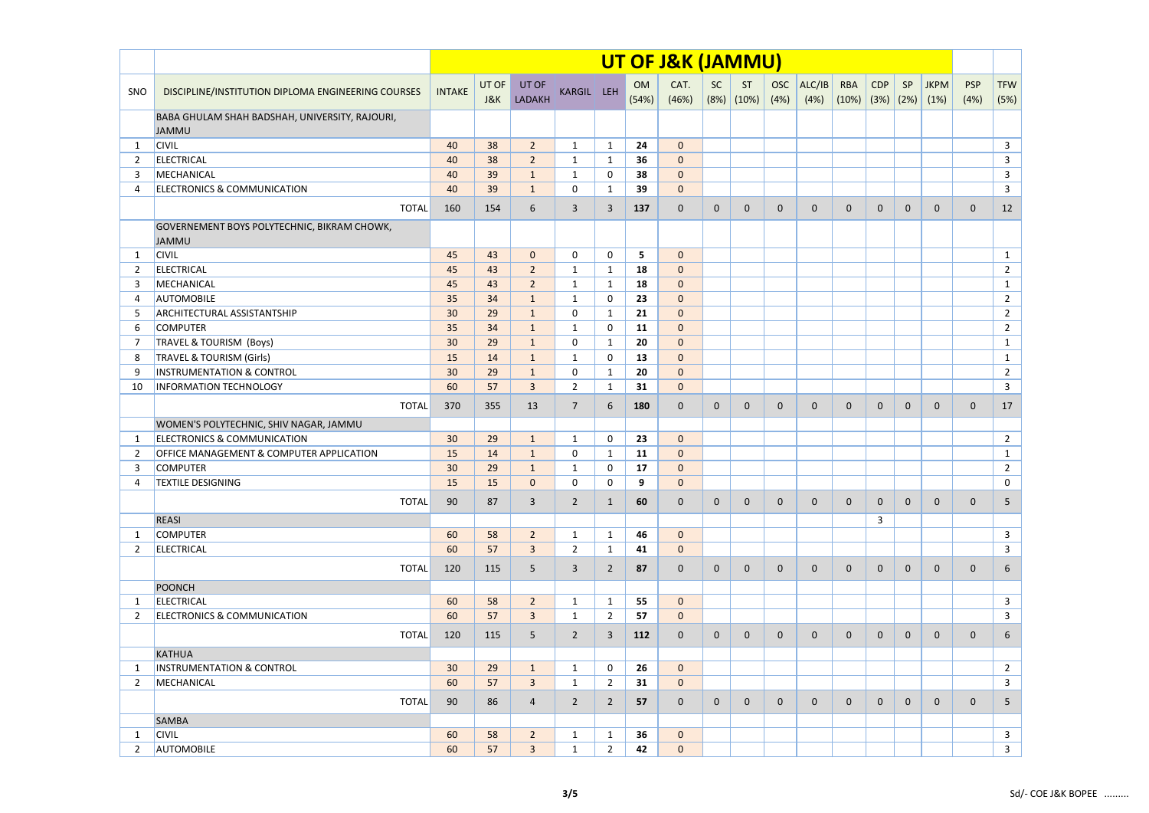|                |                                                                |               |              |                 |                |                |                 | UT OF J&K (JAMMU) |              |              |                    |                |                             |                |                |                     |                    |                    |
|----------------|----------------------------------------------------------------|---------------|--------------|-----------------|----------------|----------------|-----------------|-------------------|--------------|--------------|--------------------|----------------|-----------------------------|----------------|----------------|---------------------|--------------------|--------------------|
| SNO            | DISCIPLINE/INSTITUTION DIPLOMA ENGINEERING COURSES             | <b>INTAKE</b> | UT OF<br>J&K | UT OF<br>LADAKH | KARGIL LEH     |                | OM<br>(54%)     | CAT.<br>(46%)     | SC<br>(8%)   | ST<br>(10%)  | <b>OSC</b><br>(4%) | ALC/IB<br>(4%) | <b>RBA</b><br>$(10\%)$ (3%) | <b>CDP</b>     | SP<br>(2%)     | <b>JKPM</b><br>(1%) | <b>PSP</b><br>(4%) | <b>TFW</b><br>(5%) |
|                | BABA GHULAM SHAH BADSHAH, UNIVERSITY, RAJOURI,<br><b>JAMMU</b> |               |              |                 |                |                |                 |                   |              |              |                    |                |                             |                |                |                     |                    |                    |
| -1             | <b>CIVIL</b>                                                   | 40            | 38           | $\overline{2}$  | $\mathbf{1}$   | $\mathbf{1}$   | 24              | $\overline{0}$    |              |              |                    |                |                             |                |                |                     |                    | $\mathbf{3}$       |
| 2              | <b>ELECTRICAL</b>                                              | 40            | 38           | $\overline{2}$  | $\mathbf 1$    | 1              | 36              | $\mathbf{0}$      |              |              |                    |                |                             |                |                |                     |                    | $\mathbf{3}$       |
| 3              | MECHANICAL                                                     | 40            | 39           | $\mathbf{1}$    | $\mathbf{1}$   | 0              | 38              | $\mathbf{0}$      |              |              |                    |                |                             |                |                |                     |                    | $\mathbf{3}$       |
| 4              | <b>ELECTRONICS &amp; COMMUNICATION</b>                         | 40            | 39           | $\mathbf{1}$    | 0              | $\mathbf{1}$   | 39              | $\overline{0}$    |              |              |                    |                |                             |                |                |                     |                    | $\mathbf{3}$       |
|                | <b>TOTAL</b>                                                   | 160           | 154          | 6               | $\overline{3}$ | 3              | 137             | $\mathbf 0$       | $\mathbf 0$  | $\mathbf 0$  | $\mathbf 0$        | $\mathbf{0}$   | $\mathbf{0}$                | $\mathbf{0}$   | $\mathbf 0$    | $\mathbf 0$         | $\mathbf 0$        | 12                 |
|                | GOVERNEMENT BOYS POLYTECHNIC, BIKRAM CHOWK,<br><b>JAMMU</b>    |               |              |                 |                |                |                 |                   |              |              |                    |                |                             |                |                |                     |                    |                    |
| -1             | <b>CIVIL</b>                                                   | 45            | 43           | $\mathbf{0}$    | $\mathbf 0$    | 0              | $5\phantom{.0}$ | $\mathbf{0}$      |              |              |                    |                |                             |                |                |                     |                    | $\mathbf{1}$       |
| 2              | <b>ELECTRICAL</b>                                              | 45            | 43           | $\overline{2}$  | $\mathbf 1$    | $\mathbf{1}$   | 18              | $\mathbf{0}$      |              |              |                    |                |                             |                |                |                     |                    | $\overline{2}$     |
| 3              | MECHANICAL                                                     | 45            | 43           | $\overline{2}$  | $\mathbf{1}$   | $\mathbf{1}$   | 18              | $\mathbf{0}$      |              |              |                    |                |                             |                |                |                     |                    | $\mathbf{1}$       |
| 4              | <b>AUTOMOBILE</b>                                              | 35            | 34           | $\mathbf{1}$    | 1              | 0              | 23              | $\mathbf{0}$      |              |              |                    |                |                             |                |                |                     |                    | $\overline{2}$     |
| 5              | <b>ARCHITECTURAL ASSISTANTSHIP</b>                             | 30            | 29           | $\mathbf{1}$    | 0              | $\mathbf{1}$   | 21              | $\mathbf{0}$      |              |              |                    |                |                             |                |                |                     |                    | $\overline{2}$     |
| 6              | <b>COMPUTER</b>                                                | 35            | 34           | $\mathbf{1}$    | $\mathbf{1}$   | 0              | 11              | $\overline{0}$    |              |              |                    |                |                             |                |                |                     |                    | $\overline{2}$     |
| 7              | TRAVEL & TOURISM (Boys)                                        | 30            | 29           | $\mathbf{1}$    | 0              | $\mathbf{1}$   | 20              | $\overline{0}$    |              |              |                    |                |                             |                |                |                     |                    | $\mathbf{1}$       |
| 8              | <b>TRAVEL &amp; TOURISM (Girls)</b>                            | 15            | 14           | $\mathbf{1}$    | $\mathbf{1}$   | $\mathbf{0}$   | 13              | $\overline{0}$    |              |              |                    |                |                             |                |                |                     |                    | $\mathbf{1}$       |
| 9              | <b>INSTRUMENTATION &amp; CONTROL</b>                           | 30            | 29           | $\mathbf{1}$    | 0              | $\mathbf{1}$   | 20              | $\overline{0}$    |              |              |                    |                |                             |                |                |                     |                    | $\overline{2}$     |
| 10             | <b>INFORMATION TECHNOLOGY</b>                                  | 60            | 57           | $\overline{3}$  | $\overline{2}$ | $\mathbf{1}$   | 31              | $\overline{0}$    |              |              |                    |                |                             |                |                |                     |                    | $\mathbf{3}$       |
|                | <b>TOTAL</b>                                                   | 370           | 355          | 13              | $\overline{7}$ | 6              | 180             | $\mathbf 0$       | $\mathbf 0$  | $\mathbf 0$  | $\mathbf 0$        | $\mathbf 0$    | $\mathbf 0$                 | $\mathbf{0}$   | $\mathbf 0$    | $\mathbf 0$         | $\mathbf 0$        | 17                 |
|                | WOMEN'S POLYTECHNIC, SHIV NAGAR, JAMMU                         |               |              |                 |                |                |                 |                   |              |              |                    |                |                             |                |                |                     |                    |                    |
| 1              | <b>ELECTRONICS &amp; COMMUNICATION</b>                         | 30            | 29           | $\mathbf{1}$    | $\mathbf{1}$   | $\mathbf{0}$   | 23              | $\overline{0}$    |              |              |                    |                |                             |                |                |                     |                    | $\overline{2}$     |
| $\overline{2}$ | <b>OFFICE MANAGEMENT &amp; COMPUTER APPLICATION</b>            | 15            | 14           | $\mathbf{1}$    | 0              | $\mathbf{1}$   | 11              | $\mathbf{0}$      |              |              |                    |                |                             |                |                |                     |                    | $\mathbf{1}$       |
| 3              | <b>COMPUTER</b>                                                | 30            | 29           | $\mathbf{1}$    | $\mathbf{1}$   | 0              | 17              | $\mathbf{0}$      |              |              |                    |                |                             |                |                |                     |                    | $\overline{2}$     |
| 4              | TEXTILE DESIGNING                                              | <b>15</b>     | <b>15</b>    | $\overline{0}$  | 0              | 0              | 9               | $\mathbf{0}$      |              |              |                    |                |                             |                |                |                     |                    | $\mathbf{0}$       |
|                | <b>TOTAL</b>                                                   | 90            | 87           | $\overline{3}$  | $\overline{2}$ | 1              | 60              | $\mathbf 0$       | $\mathbf 0$  | $\mathbf 0$  | $\mathbf 0$        | $\mathbf 0$    | $\mathbf 0$                 | $\mathbf{0}$   | $\mathbf 0$    | $\mathbf{0}$        | $\mathbf 0$        | 5 <sup>5</sup>     |
|                | <b>REASI</b>                                                   |               |              |                 |                |                |                 |                   |              |              |                    |                |                             | 3              |                |                     |                    |                    |
| -1             | <b>COMPUTER</b>                                                | 60            | 58           | $\overline{2}$  | 1              | 1              | 46              | $\overline{0}$    |              |              |                    |                |                             |                |                |                     |                    | $\mathbf{3}$       |
| 2              | ELECTRICAL                                                     | 60            | 57           | $\overline{3}$  | $\overline{2}$ | $\mathbf{1}$   | 41              | $\overline{0}$    |              |              |                    |                |                             |                |                |                     |                    | $\mathbf{3}$       |
|                | <b>TOTAL</b>                                                   | 120           | 115          | 5 <sup>5</sup>  | 3              | 2              | 87              | $\mathbf 0$       | $\mathbf{0}$ | $\mathbf{0}$ | $\mathbf 0$        | $\mathbf 0$    | $\mathbf{0}$                | $\mathbf{0}$   | $\mathbf 0$    | $\mathbf 0$         | $\mathbf 0$        | 6                  |
|                | POONCH                                                         |               |              |                 |                |                |                 |                   |              |              |                    |                |                             |                |                |                     |                    |                    |
| 1              | <b>ELECTRICAL</b>                                              | 60            | 58           | $\overline{2}$  | $\mathbf{1}$   | $\mathbf{1}$   | 55              | $\overline{0}$    |              |              |                    |                |                             |                |                |                     |                    | $\mathbf{3}$       |
| 2              | <b>ELECTRONICS &amp; COMMUNICATION</b>                         | 60            | 57           | $\overline{3}$  | 1              | 2              | 57              | $\mathbf{0}$      |              |              |                    |                |                             |                |                |                     |                    | $\mathbf{3}$       |
|                | <b>TOTAL</b>                                                   | 120           | 115          | 5 <sup>5</sup>  | $\overline{2}$ | 3              | 112             | $\mathbf 0$       | $\mathbf 0$  | 0            | $\mathbf 0$        | $\mathbf{0}$   | $\mathbf{0}$                | $\mathbf{0}$   | $\mathbf 0$    | $\mathbf 0$         | $\mathbf 0$        | 6                  |
|                | <b>KATHUA</b>                                                  |               |              |                 |                |                |                 |                   |              |              |                    |                |                             |                |                |                     |                    |                    |
| -1             | <b>INSTRUMENTATION &amp; CONTROL</b>                           | 30            | 29           | $\mathbf{1}$    | $\mathbf{1}$   | 0              | 26              | $\overline{0}$    |              |              |                    |                |                             |                |                |                     |                    | $\overline{2}$     |
| 2              | MECHANICAL                                                     | 60            | 57           | $\overline{3}$  | $\mathbf{1}$   | $\overline{2}$ | 31              | $\overline{0}$    |              |              |                    |                |                             |                |                |                     |                    | $\mathbf{3}$       |
|                | <b>TOTAL</b>                                                   | 90            | 86           | 4               | $\overline{2}$ | $\overline{2}$ | 57              | $\mathbf 0$       | $\mathbf{0}$ | $\mathbf{0}$ | $\mathbf{0}$       | $\mathbf{0}$   | $\mathbf 0$                 | $\overline{0}$ | $\overline{0}$ | $\mathbf{0}$        | $\mathbf{0}$       | 5                  |
|                | <b>SAMBA</b>                                                   |               |              |                 |                |                |                 |                   |              |              |                    |                |                             |                |                |                     |                    |                    |
| -1             | <b>CIVIL</b>                                                   | 60            | 58           | $\overline{2}$  | $\mathbf{1}$   | $\mathbf{1}$   | 36              | $\overline{0}$    |              |              |                    |                |                             |                |                |                     |                    | $\mathbf{3}$       |
| 2              | <b>AUTOMOBILE</b>                                              | 60            | 57           | $\mathbf{3}$    | 1              | 2              | 42              | $\mathbf{0}$      |              |              |                    |                |                             |                |                |                     |                    | $\mathbf{3}$       |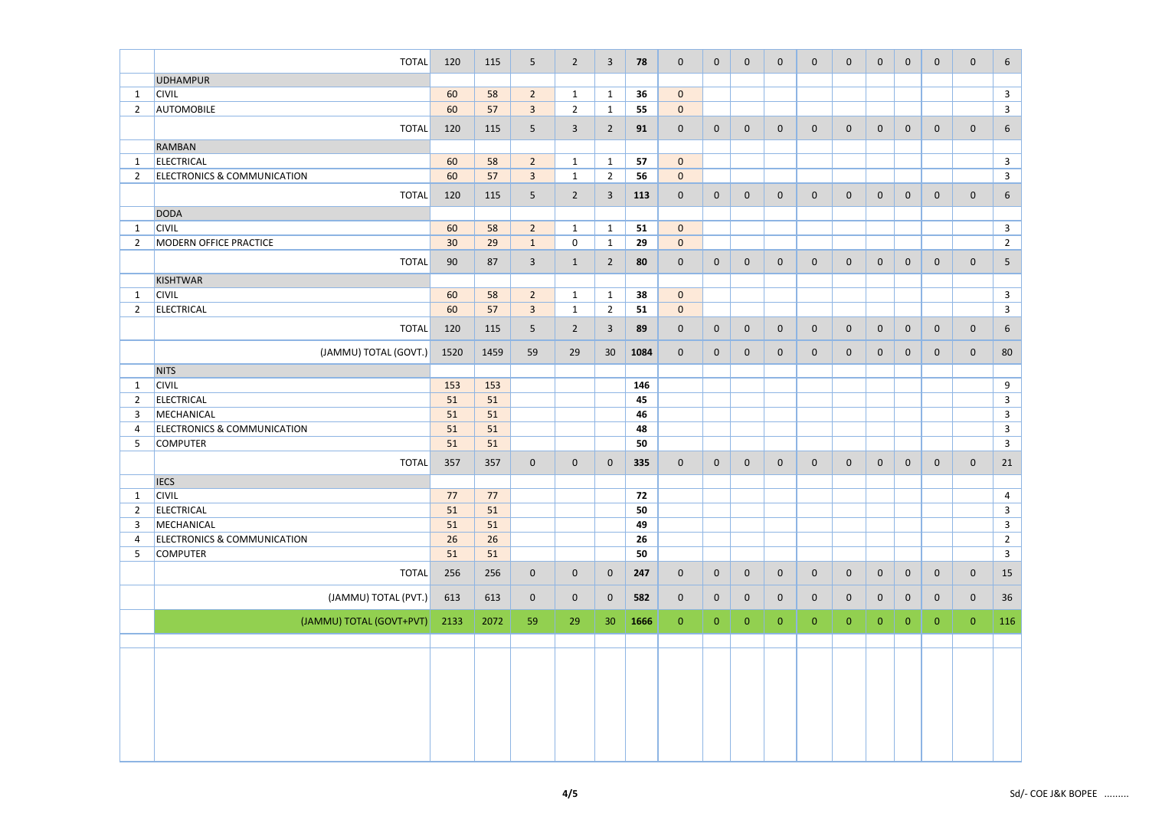|                | <b>TOTAL</b>                           | 120  | 115  | 5 <sup>5</sup> | $\overline{2}$ | $\overline{3}$  | 78   | $\mathbf{0}$   | $\mathbf 0$    | $\overline{0}$ | $\mathbf 0$    | $\mathbf{0}$   | $\mathbf 0$    | $\overline{0}$ | $\overline{0}$ | $\mathbf 0$      | $\mathbf 0$    | 6 <sup>1</sup>  |
|----------------|----------------------------------------|------|------|----------------|----------------|-----------------|------|----------------|----------------|----------------|----------------|----------------|----------------|----------------|----------------|------------------|----------------|-----------------|
|                | <b>UDHAMPUR</b>                        |      |      |                |                |                 |      |                |                |                |                |                |                |                |                |                  |                |                 |
| $\mathbf{1}$   | <b>CIVIL</b>                           | 60   | 58   | $\overline{2}$ | $\mathbf{1}$   | $\mathbf{1}$    | 36   | $\mathbf{0}$   |                |                |                |                |                |                |                |                  |                | $\mathbf{3}$    |
| $\overline{2}$ | <b>AUTOMOBILE</b>                      | 60   | 57   | $\overline{3}$ | $\overline{2}$ | $\mathbf{1}$    | 55   | $\overline{0}$ |                |                |                |                |                |                |                |                  |                | $\mathbf{3}$    |
|                |                                        |      |      |                |                |                 |      |                |                |                |                |                |                |                |                |                  |                |                 |
|                | <b>TOTAL</b>                           | 120  | 115  | $5\phantom{.}$ | $\overline{3}$ | $\overline{2}$  | 91   | $\overline{0}$ | $\mathbf 0$    | $\mathbf{0}$   | $\mathbf 0$    | $\mathbf{0}$   | $\mathbf{0}$   | $\mathbf{0}$   | $\overline{0}$ | $\mathbf 0$      | $\mathbf 0$    | $6\overline{6}$ |
|                | <b>RAMBAN</b>                          |      |      |                |                |                 |      |                |                |                |                |                |                |                |                |                  |                |                 |
| 1              | <b>ELECTRICAL</b>                      | 60   | 58   | $\overline{2}$ | $\mathbf{1}$   | $\mathbf{1}$    | 57   | $\overline{0}$ |                |                |                |                |                |                |                |                  |                | $\mathbf{3}$    |
| $\overline{2}$ | <b>ELECTRONICS &amp; COMMUNICATION</b> | 60   | 57   | $\overline{3}$ | $\mathbf{1}$   | $\overline{2}$  | 56   | $\overline{0}$ |                |                |                |                |                |                |                |                  |                | $\mathbf{3}$    |
|                | <b>TOTAL</b>                           | 120  | 115  | 5 <sup>5</sup> | $\overline{2}$ | 3               | 113  | $\overline{0}$ | $\mathbf 0$    | $\overline{0}$ | $\mathbf 0$    | $\mathbf 0$    | $\mathbf 0$    | $\mathbf{0}$   | $\overline{0}$ | $\boldsymbol{0}$ | $\mathbf 0$    | $6\overline{6}$ |
|                | <b>DODA</b>                            |      |      |                |                |                 |      |                |                |                |                |                |                |                |                |                  |                |                 |
| $\mathbf{1}$   | <b>CIVIL</b>                           | 60   | 58   | $\overline{2}$ | $\mathbf{1}$   | $\mathbf{1}$    | 51   | $\overline{0}$ |                |                |                |                |                |                |                |                  |                | $\mathbf{3}$    |
| $\overline{2}$ | <b>MODERN OFFICE PRACTICE</b>          | 30   | 29   | $\mathbf{1}$   | $\mathbf 0$    | $\mathbf{1}$    | 29   | $\overline{0}$ |                |                |                |                |                |                |                |                  |                | $\overline{2}$  |
|                | <b>TOTAL</b>                           | 90   | 87   | $\mathbf{3}$   | $\mathbf{1}$   | $\overline{2}$  | 80   | $\mathbf{0}$   | $\mathbf 0$    | $\mathbf{0}$   | $\mathbf 0$    | $\mathbf 0$    | $\mathbf 0$    | $\mathbf{0}$   | $\overline{0}$ | $\mathbf 0$      | $\mathbf 0$    | 5 <sub>1</sub>  |
|                | <b>KISHTWAR</b>                        |      |      |                |                |                 |      |                |                |                |                |                |                |                |                |                  |                |                 |
| $\mathbf{1}$   | <b>CIVIL</b>                           | 60   | 58   | $\overline{2}$ | $\mathbf{1}$   | $\mathbf{1}$    | 38   | $\overline{0}$ |                |                |                |                |                |                |                |                  |                | $\mathbf{3}$    |
| $\overline{2}$ | <b>ELECTRICAL</b>                      | 60   | 57   | $\overline{3}$ | $\mathbf{1}$   | $\overline{2}$  | 51   | $\overline{0}$ |                |                |                |                |                |                |                |                  |                | $\mathbf{3}$    |
|                | <b>TOTAL</b>                           | 120  | 115  | 5 <sub>o</sub> | $\overline{2}$ | $\overline{3}$  | 89   | $\overline{0}$ | $\mathbf 0$    | $\mathbf{0}$   | $\mathbf 0$    | $\mathbf{0}$   | $\mathbf 0$    | $\mathbf{0}$   | $\overline{0}$ | $\mathbf 0$      | $\mathbf 0$    | $6\overline{6}$ |
|                |                                        |      |      |                |                |                 |      |                |                |                |                |                |                |                |                |                  |                |                 |
|                | (JAMMU) TOTAL (GOVT.)                  | 1520 | 1459 | 59             | 29             | 30              | 1084 | $\overline{0}$ | $\mathbf 0$    | $\mathbf{0}$   | $\mathbf 0$    | $\mathbf{0}$   | $\mathbf{0}$   | $\mathbf{0}$   | $\overline{0}$ | $\mathbf 0$      | $\mathbf 0$    | 80              |
|                | <b>NITS</b>                            |      |      |                |                |                 |      |                |                |                |                |                |                |                |                |                  |                |                 |
| $\mathbf{1}$   | <b>CIVIL</b>                           | 153  | 153  |                |                |                 | 146  |                |                |                |                |                |                |                |                |                  |                | 9               |
| $\overline{2}$ | <b>ELECTRICAL</b>                      | 51   | 51   |                |                |                 | 45   |                |                |                |                |                |                |                |                |                  |                | $\mathbf{3}$    |
| 3              | MECHANICAL                             | 51   | 51   |                |                |                 | 46   |                |                |                |                |                |                |                |                |                  |                | $\mathbf{3}$    |
| 4              | <b>ELECTRONICS &amp; COMMUNICATION</b> | 51   | 51   |                |                |                 | 48   |                |                |                |                |                |                |                |                |                  |                | $\mathbf{3}$    |
| 5              | <b>COMPUTER</b>                        | 51   | 51   |                |                |                 | 50   |                |                |                |                |                |                |                |                |                  |                | $\mathbf{3}$    |
|                | <b>TOTAL</b>                           | 357  | 357  | $\mathbf 0$    | $\overline{0}$ | $\mathbf 0$     | 335  | $\mathbf 0$    | $\mathbf 0$    | $\mathbf{0}$   | $\mathbf 0$    | $\mathbf{0}$   | $\mathbf 0$    | $\mathbf 0$    | $\overline{0}$ | $\mathbf 0$      | $\mathbf 0$    | 21              |
|                | <b>IECS</b>                            |      |      |                |                |                 |      |                |                |                |                |                |                |                |                |                  |                |                 |
| $\mathbf{1}$   | <b>CIVIL</b>                           | 77   | 77   |                |                |                 | 72   |                |                |                |                |                |                |                |                |                  |                | $\overline{4}$  |
| $\overline{2}$ | ELECTRICAL                             | 51   | 51   |                |                |                 | 50   |                |                |                |                |                |                |                |                |                  |                | $\mathbf{3}$    |
| 3              | MECHANICAL                             | 51   | 51   |                |                |                 | 49   |                |                |                |                |                |                |                |                |                  |                | $\mathbf{3}$    |
| 4              | ELECTRONICS & COMMUNICATION            | 26   | 26   |                |                |                 | 26   |                |                |                |                |                |                |                |                |                  |                | $\overline{2}$  |
| -5             | <b>COMPUTER</b>                        | 51   | 51   |                |                |                 | 50   |                |                |                |                |                |                |                |                |                  |                | $\mathbf{3}$    |
|                | <b>TOTAL</b>                           | 256  | 256  | $\overline{0}$ | $\overline{0}$ | $\mathbf 0$     | 247  | $\overline{0}$ | $\mathbf{0}$   | $\overline{0}$ | $\mathbf 0$    | $\mathbf 0$    | $\mathbf{0}$   | $\overline{0}$ | $\overline{0}$ | $\mathbf 0$      | $\mathbf 0$    | 15              |
|                | (JAMMU) TOTAL (PVT.)                   | 613  | 613  | $\overline{0}$ | $\overline{0}$ | $\mathbf 0$     | 582  | $\overline{0}$ | $\overline{0}$ | $\overline{0}$ | $\mathbf 0$    | $\mathbf 0$    | $\mathbf{0}$   | $\overline{0}$ | $\overline{0}$ | $\mathbf 0$      | $\mathbf 0$    | 36              |
|                |                                        |      |      |                |                |                 |      |                |                |                |                |                |                |                |                |                  |                |                 |
|                | (JAMMU) TOTAL (GOVT+PVT)               | 2133 | 2072 | 59             | 29             | 30 <sup>°</sup> | 1666 | $\overline{0}$ | $\overline{0}$ | $\overline{0}$ | $\overline{0}$ | $\overline{0}$ | $\overline{0}$ | $\overline{0}$ | $\overline{0}$ | $\mathbf{0}$     | $\overline{0}$ | 116             |
|                |                                        |      |      |                |                |                 |      |                |                |                |                |                |                |                |                |                  |                |                 |
|                |                                        |      |      |                |                |                 |      |                |                |                |                |                |                |                |                |                  |                |                 |
|                |                                        |      |      |                |                |                 |      |                |                |                |                |                |                |                |                |                  |                |                 |
|                |                                        |      |      |                |                |                 |      |                |                |                |                |                |                |                |                |                  |                |                 |
|                |                                        |      |      |                |                |                 |      |                |                |                |                |                |                |                |                |                  |                |                 |
|                |                                        |      |      |                |                |                 |      |                |                |                |                |                |                |                |                |                  |                |                 |
|                |                                        |      |      |                |                |                 |      |                |                |                |                |                |                |                |                |                  |                |                 |
|                |                                        |      |      |                |                |                 |      |                |                |                |                |                |                |                |                |                  |                |                 |